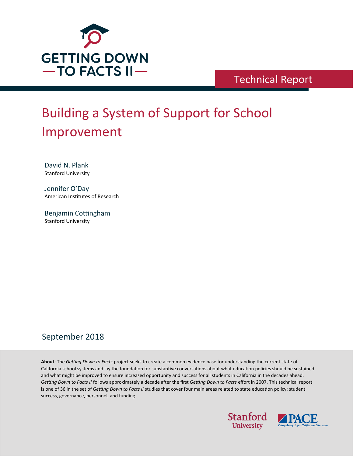

Technical Report

# Building a System of Support for School Improvement

David N. Plank Stanford University

Jennifer O'Day American Institutes of Research

Benjamin Cottingham Stanford University

# September 2018

**About**: The *Getting Down to Facts* project seeks to create a common evidence base for understanding the current state of California school systems and lay the foundation for substantive conversations about what education policies should be sustained and what might be improved to ensure increased opportunity and success for all students in California in the decades ahead. *Getting Down to Facts II* follows approximately a decade a�er the first *Getting Down to Facts* effort in 2007. This technical report is one of 36 in the set of *Getting Down to Facts II* studies that cover four main areas related to state education policy: student success, governance, personnel, and funding.



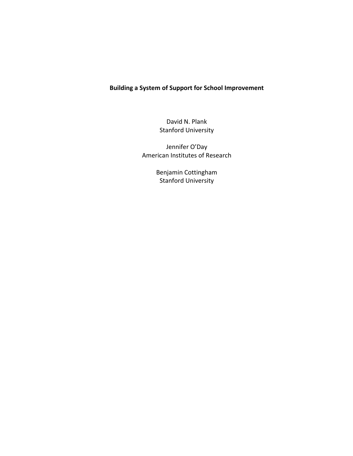# **Building a System of Support for School Improvement**

David N. Plank Stanford University

Jennifer O'Day American Institutes of Research

> Benjamin Cottingham Stanford University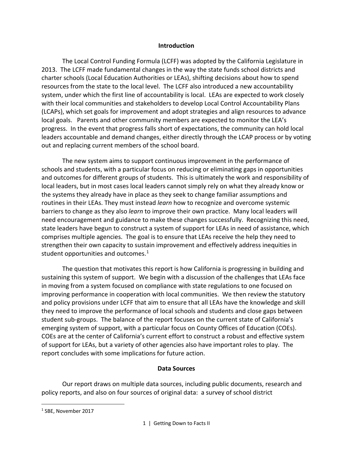#### **Introduction**

The Local Control Funding Formula (LCFF) was adopted by the California Legislature in 2013. The LCFF made fundamental changes in the way the state funds school districts and charter schools (Local Education Authorities or LEAs), shifting decisions about how to spend resources from the state to the local level. The LCFF also introduced a new accountability system, under which the first line of accountability is local. LEAs are expected to work closely with their local communities and stakeholders to develop Local Control Accountability Plans (LCAPs), which set goals for improvement and adopt strategies and align resources to advance local goals. Parents and other community members are expected to monitor the LEA's progress. In the event that progress falls short of expectations, the community can hold local leaders accountable and demand changes, either directly through the LCAP process or by voting out and replacing current members of the school board.

The new system aims to support continuous improvement in the performance of schools and students, with a particular focus on reducing or eliminating gaps in opportunities and outcomes for different groups of students. This is ultimately the work and responsibility of local leaders, but in most cases local leaders cannot simply rely on what they already know or the systems they already have in place as they seek to change familiar assumptions and routines in their LEAs. They must instead *learn* how to recognize and overcome systemic barriers to change as they also *learn* to improve their own practice. Many local leaders will need encouragement and guidance to make these changes successfully. Recognizing this need, state leaders have begun to construct a system of support for LEAs in need of assistance, which comprises multiple agencies. The goal is to ensure that LEAs receive the help they need to strengthen their own capacity to sustain improvement and effectively address inequities in student opportunities and outcomes. $1$ 

The question that motivates this report is how California is progressing in building and sustaining this system of support. We begin with a discussion of the challenges that LEAs face in moving from a system focused on compliance with state regulations to one focused on improving performance in cooperation with local communities. We then review the statutory and policy provisions under LCFF that aim to ensure that all LEAs have the knowledge and skill they need to improve the performance of local schools and students and close gaps between student sub-groups. The balance of the report focuses on the current state of California's emerging system of support, with a particular focus on County Offices of Education (COEs). COEs are at the center of California's current effort to construct a robust and effective system of support for LEAs, but a variety of other agencies also have important roles to play. The report concludes with some implications for future action.

#### **Data Sources**

Our report draws on multiple data sources, including public documents, research and policy reports, and also on four sources of original data: a survey of school district

<span id="page-2-0"></span> <sup>1</sup> SBE, November 2017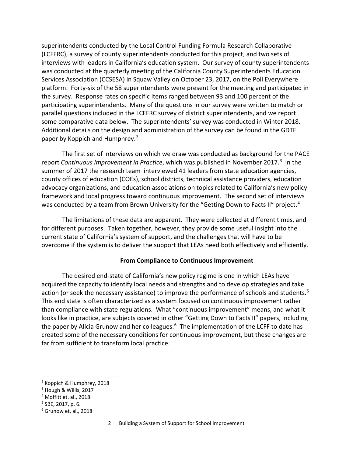superintendents conducted by the Local Control Funding Formula Research Collaborative (LCFFRC), a survey of county superintendents conducted for this project, and two sets of interviews with leaders in California's education system. Our survey of county superintendents was conducted at the quarterly meeting of the California County Superintendents Education Services Association (CCSESA) in Squaw Valley on October 23, 2017, on the Poll Everywhere platform. Forty-six of the 58 superintendents were present for the meeting and participated in the survey. Response rates on specific items ranged between 93 and 100 percent of the participating superintendents. Many of the questions in our survey were written to match or parallel questions included in the LCFFRC survey of district superintendents, and we report some comparative data below. The superintendents' survey was conducted in Winter 2018. Additional details on the design and administration of the survey can be found in the GDTF paper by Koppich and Humphrey.<sup>[2](#page-3-0)</sup>

The first set of interviews on which we draw was conducted as background for the PACE report *Continuous Improvement in Practice*, which was published in November 2017.<sup>[3](#page-3-1)</sup> In the summer of 2017 the research team interviewed 41 leaders from state education agencies, county offices of education (COEs), school districts, technical assistance providers, education advocacy organizations, and education associations on topics related to California's new policy framework and local progress toward continuous improvement. The second set of interviews was conducted by a team from Brown University for the "Getting Down to Facts II" project.<sup>[4](#page-3-2)</sup>

The limitations of these data are apparent. They were collected at different times, and for different purposes. Taken together, however, they provide some useful insight into the current state of California's system of support, and the challenges that will have to be overcome if the system is to deliver the support that LEAs need both effectively and efficiently.

#### **From Compliance to Continuous Improvement**

The desired end-state of California's new policy regime is one in which LEAs have acquired the capacity to identify local needs and strengths and to develop strategies and take action (or seek the necessary assistance) to improve the performance of schools and students.<sup>[5](#page-3-3)</sup> This end state is often characterized as a system focused on continuous improvement rather than compliance with state regulations. What "continuous improvement" means, and what it looks like in practice, are subjects covered in other "Getting Down to Facts II" papers, including the paper by Alicia Grunow and her colleagues. $6$  The implementation of the LCFF to date has created some of the necessary conditions for continuous improvement, but these changes are far from sufficient to transform local practice.

<span id="page-3-0"></span> <sup>2</sup> Koppich & Humphrey, 2018

<span id="page-3-1"></span><sup>&</sup>lt;sup>3</sup> Hough & Willis, 2017

<span id="page-3-2"></span><sup>4</sup> Moffitt et. al., 2018

<span id="page-3-3"></span><sup>5</sup> SBE, 2017, p. 6.

<span id="page-3-4"></span><sup>6</sup> Grunow et. al., 2018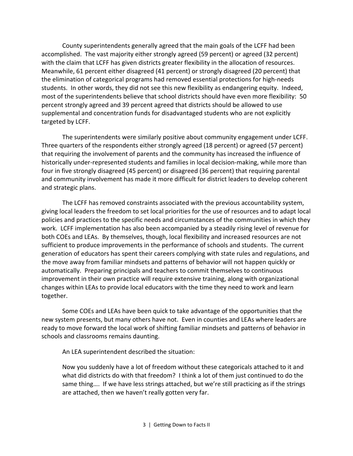County superintendents generally agreed that the main goals of the LCFF had been accomplished. The vast majority either strongly agreed (59 percent) or agreed (32 percent) with the claim that LCFF has given districts greater flexibility in the allocation of resources. Meanwhile, 61 percent either disagreed (41 percent) or strongly disagreed (20 percent) that the elimination of categorical programs had removed essential protections for high-needs students. In other words, they did not see this new flexibility as endangering equity. Indeed, most of the superintendents believe that school districts should have even more flexibility: 50 percent strongly agreed and 39 percent agreed that districts should be allowed to use supplemental and concentration funds for disadvantaged students who are not explicitly targeted by LCFF.

The superintendents were similarly positive about community engagement under LCFF. Three quarters of the respondents either strongly agreed (18 percent) or agreed (57 percent) that requiring the involvement of parents and the community has increased the influence of historically under-represented students and families in local decision-making, while more than four in five strongly disagreed (45 percent) or disagreed (36 percent) that requiring parental and community involvement has made it more difficult for district leaders to develop coherent and strategic plans.

The LCFF has removed constraints associated with the previous accountability system, giving local leaders the freedom to set local priorities for the use of resources and to adapt local policies and practices to the specific needs and circumstances of the communities in which they work. LCFF implementation has also been accompanied by a steadily rising level of revenue for both COEs and LEAs. By themselves, though, local flexibility and increased resources are not sufficient to produce improvements in the performance of schools and students. The current generation of educators has spent their careers complying with state rules and regulations, and the move away from familiar mindsets and patterns of behavior will not happen quickly or automatically. Preparing principals and teachers to commit themselves to continuous improvement in their own practice will require extensive training, along with organizational changes within LEAs to provide local educators with the time they need to work and learn together.

Some COEs and LEAs have been quick to take advantage of the opportunities that the new system presents, but many others have not. Even in counties and LEAs where leaders are ready to move forward the local work of shifting familiar mindsets and patterns of behavior in schools and classrooms remains daunting.

An LEA superintendent described the situation:

Now you suddenly have a lot of freedom without these categoricals attached to it and what did districts do with that freedom? I think a lot of them just continued to do the same thing…. If we have less strings attached, but we're still practicing as if the strings are attached, then we haven't really gotten very far.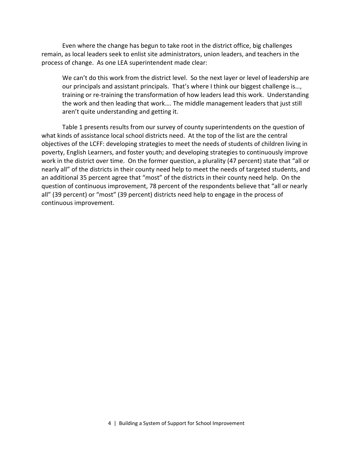Even where the change has begun to take root in the district office, big challenges remain, as local leaders seek to enlist site administrators, union leaders, and teachers in the process of change. As one LEA superintendent made clear:

We can't do this work from the district level. So the next layer or level of leadership are our principals and assistant principals. That's where I think our biggest challenge is…, training or re-training the transformation of how leaders lead this work. Understanding the work and then leading that work…. The middle management leaders that just still aren't quite understanding and getting it.

Table 1 presents results from our survey of county superintendents on the question of what kinds of assistance local school districts need. At the top of the list are the central objectives of the LCFF: developing strategies to meet the needs of students of children living in poverty, English Learners, and foster youth; and developing strategies to continuously improve work in the district over time. On the former question, a plurality (47 percent) state that "all or nearly all" of the districts in their county need help to meet the needs of targeted students, and an additional 35 percent agree that "most" of the districts in their county need help. On the question of continuous improvement, 78 percent of the respondents believe that "all or nearly all" (39 percent) or "most" (39 percent) districts need help to engage in the process of continuous improvement.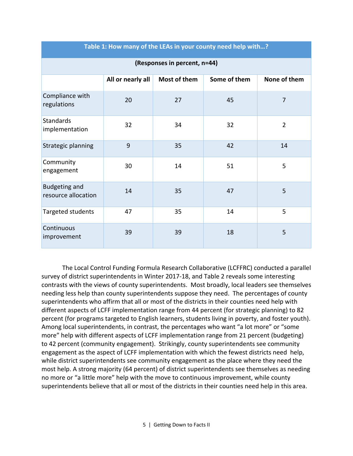| (Responses in percent, n=44)                |                   |              |              |                |
|---------------------------------------------|-------------------|--------------|--------------|----------------|
|                                             | All or nearly all | Most of them | Some of them | None of them   |
| Compliance with<br>regulations              | 20                | 27           | 45           | $\overline{7}$ |
| <b>Standards</b><br>implementation          | 32                | 34           | 32           | $\overline{2}$ |
| Strategic planning                          | 9                 | 35           | 42           | 14             |
| Community<br>engagement                     | 30                | 14           | 51           | 5              |
| <b>Budgeting and</b><br>resource allocation | 14                | 35           | 47           | 5              |
| Targeted students                           | 47                | 35           | 14           | 5              |
| Continuous<br>improvement                   | 39                | 39           | 18           | 5              |

**Table 1: How many of the LEAs in your county need help with…?**

The Local Control Funding Formula Research Collaborative (LCFFRC) conducted a parallel survey of district superintendents in Winter 2017-18, and Table 2 reveals some interesting contrasts with the views of county superintendents. Most broadly, local leaders see themselves needing less help than county superintendents suppose they need. The percentages of county superintendents who affirm that all or most of the districts in their counties need help with different aspects of LCFF implementation range from 44 percent (for strategic planning) to 82 percent (for programs targeted to English learners, students living in poverty, and foster youth). Among local superintendents, in contrast, the percentages who want "a lot more" or "some more" help with different aspects of LCFF implementation range from 21 percent (budgeting) to 42 percent (community engagement). Strikingly, county superintendents see community engagement as the aspect of LCFF implementation with which the fewest districts need help, while district superintendents see community engagement as the place where they need the most help. A strong majority (64 percent) of district superintendents see themselves as needing no more or "a little more" help with the move to continuous improvement, while county superintendents believe that all or most of the districts in their counties need help in this area.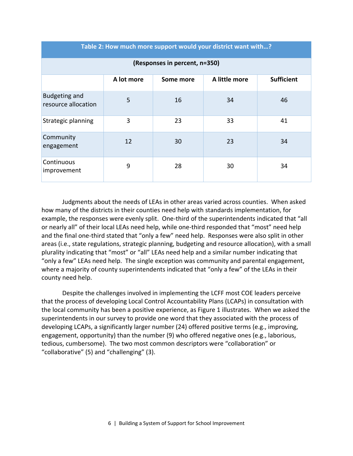| Table 2. How much more support would your district want with: |            |           |               |                   |  |
|---------------------------------------------------------------|------------|-----------|---------------|-------------------|--|
| (Responses in percent, n=350)                                 |            |           |               |                   |  |
|                                                               | A lot more | Some more | A little more | <b>Sufficient</b> |  |
| <b>Budgeting and</b><br>resource allocation                   | 5          | 16        | 34            | 46                |  |
| Strategic planning                                            | 3          | 23        | 33            | 41                |  |
| Community<br>engagement                                       | 12         | 30        | 23            | 34                |  |
| Continuous<br>improvement                                     | 9          | 28        | 30            | 34                |  |

**Table 2: How much more support would your district want with…?**

Judgments about the needs of LEAs in other areas varied across counties. When asked how many of the districts in their counties need help with standards implementation, for example, the responses were evenly split. One-third of the superintendents indicated that "all or nearly all" of their local LEAs need help, while one-third responded that "most" need help and the final one-third stated that "only a few" need help. Responses were also split in other areas (i.e., state regulations, strategic planning, budgeting and resource allocation), with a small plurality indicating that "most" or "all" LEAs need help and a similar number indicating that "only a few" LEAs need help. The single exception was community and parental engagement, where a majority of county superintendents indicated that "only a few" of the LEAs in their county need help.

Despite the challenges involved in implementing the LCFF most COE leaders perceive that the process of developing Local Control Accountability Plans (LCAPs) in consultation with the local community has been a positive experience, as Figure 1 illustrates. When we asked the superintendents in our survey to provide one word that they associated with the process of developing LCAPs, a significantly larger number (24) offered positive terms (e.g., improving, engagement, opportunity) than the number (9) who offered negative ones (e.g., laborious, tedious, cumbersome). The two most common descriptors were "collaboration" or "collaborative" (5) and "challenging" (3).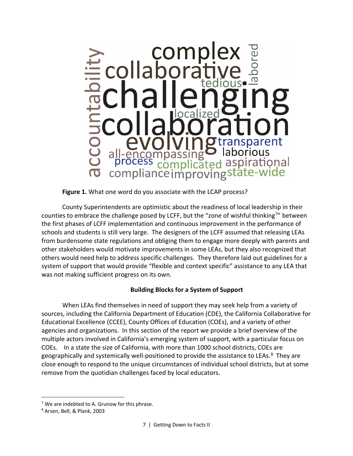

**Figure 1.** What one word do you associate with the LCAP process?

County Superintendents are optimistic about the readiness of local leadership in their counties to embrace the challenge posed by LCFF, but the "zone of wishful thinking<sup>[7](#page-8-0)</sup>" between the first phases of LCFF implementation and continuous improvement in the performance of schools and students is still very large. The designers of the LCFF assumed that releasing LEAs from burdensome state regulations and obliging them to engage more deeply with parents and other stakeholders would motivate improvements in some LEAs, but they also recognized that others would need help to address specific challenges. They therefore laid out guidelines for a system of support that would provide "flexible and context specific" assistance to any LEA that was not making sufficient progress on its own.

# **Building Blocks for a System of Support**

When LEAs find themselves in need of support they may seek help from a variety of sources, including the California Department of Education (CDE), the California Collaborative for Educational Excellence (CCEE), County Offices of Education (COEs), and a variety of other agencies and organizations. In this section of the report we provide a brief overview of the multiple actors involved in California's emerging system of support, with a particular focus on COEs. In a state the size of California, with more than 1000 school districts, COEs are geographically and systemically well-positioned to provide the assistance to LEAs.<sup>[8](#page-8-1)</sup> They are close enough to respond to the unique circumstances of individual school districts, but at some remove from the quotidian challenges faced by local educators.

<span id="page-8-0"></span> $7$  We are indebted to A. Grunow for this phrase.

<span id="page-8-1"></span><sup>8</sup> Arsen, Bell, & Plank, 2003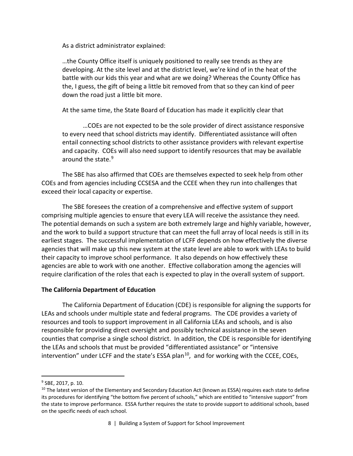As a district administrator explained:

…the County Office itself is uniquely positioned to really see trends as they are developing. At the site level and at the district level, we're kind of in the heat of the battle with our kids this year and what are we doing? Whereas the County Office has the, I guess, the gift of being a little bit removed from that so they can kind of peer down the road just a little bit more.

At the same time, the State Board of Education has made it explicitly clear that

…COEs are not expected to be the sole provider of direct assistance responsive to every need that school districts may identify. Differentiated assistance will often entail connecting school districts to other assistance providers with relevant expertise and capacity. COEs will also need support to identify resources that may be available around the state.<sup>[9](#page-9-0)</sup>

The SBE has also affirmed that COEs are themselves expected to seek help from other COEs and from agencies including CCSESA and the CCEE when they run into challenges that exceed their local capacity or expertise.

The SBE foresees the creation of a comprehensive and effective system of support comprising multiple agencies to ensure that every LEA will receive the assistance they need. The potential demands on such a system are both extremely large and highly variable, however, and the work to build a support structure that can meet the full array of local needs is still in its earliest stages. The successful implementation of LCFF depends on how effectively the diverse agencies that will make up this new system at the state level are able to work with LEAs to build their capacity to improve school performance. It also depends on how effectively these agencies are able to work with one another. Effective collaboration among the agencies will require clarification of the roles that each is expected to play in the overall system of support.

#### **The California Department of Education**

The California Department of Education (CDE) is responsible for aligning the supports for LEAs and schools under multiple state and federal programs. The CDE provides a variety of resources and tools to support improvement in all California LEAs and schools, and is also responsible for providing direct oversight and possibly technical assistance in the seven counties that comprise a single school district. In addition, the CDE is responsible for identifying the LEAs and schools that must be provided "differentiated assistance" or "intensive intervention" under LCFF and the state's ESSA plan<sup>[10](#page-9-1)</sup>, and for working with the CCEE, COEs,

<span id="page-9-0"></span> <sup>9</sup> SBE, 2017, p. 10.

<span id="page-9-1"></span><sup>&</sup>lt;sup>10</sup> The latest version of the Elementary and Secondary Education Act (known as ESSA) requires each state to define its procedures for identifying "the bottom five percent of schools," which are entitled to "intensive support" from the state to improve performance. ESSA further requires the state to provide support to additional schools, based on the specific needs of each school.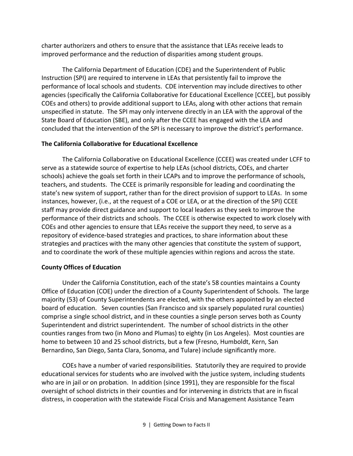charter authorizers and others to ensure that the assistance that LEAs receive leads to improved performance and the reduction of disparities among student groups.

The California Department of Education (CDE) and the Superintendent of Public Instruction (SPI) are required to intervene in LEAs that persistently fail to improve the performance of local schools and students. CDE intervention may include directives to other agencies (specifically the California Collaborative for Educational Excellence [CCEE], but possibly COEs and others) to provide additional support to LEAs, along with other actions that remain unspecified in statute. The SPI may only intervene directly in an LEA with the approval of the State Board of Education (SBE), and only after the CCEE has engaged with the LEA and concluded that the intervention of the SPI is necessary to improve the district's performance.

## **The California Collaborative for Educational Excellence**

The California Collaborative on Educational Excellence (CCEE) was created under LCFF to serve as a statewide source of expertise to help LEAs (school districts, COEs, and charter schools) achieve the goals set forth in their LCAPs and to improve the performance of schools, teachers, and students. The CCEE is primarily responsible for leading and coordinating the state's new system of support, rather than for the direct provision of support to LEAs. In some instances, however, (i.e., at the request of a COE or LEA, or at the direction of the SPI) CCEE staff may provide direct guidance and support to local leaders as they seek to improve the performance of their districts and schools. The CCEE is otherwise expected to work closely with COEs and other agencies to ensure that LEAs receive the support they need, to serve as a repository of evidence-based strategies and practices, to share information about these strategies and practices with the many other agencies that constitute the system of support, and to coordinate the work of these multiple agencies within regions and across the state.

# **County Offices of Education**

Under the California Constitution, each of the state's 58 counties maintains a County Office of Education (COE) under the direction of a County Superintendent of Schools. The large majority (53) of County Superintendents are elected, with the others appointed by an elected board of education. Seven counties (San Francisco and six sparsely populated rural counties) comprise a single school district, and in these counties a single person serves both as County Superintendent and district superintendent. The number of school districts in the other counties ranges from two (in Mono and Plumas) to eighty (in Los Angeles). Most counties are home to between 10 and 25 school districts, but a few (Fresno, Humboldt, Kern, San Bernardino, San Diego, Santa Clara, Sonoma, and Tulare) include significantly more.

COEs have a number of varied responsibilities. Statutorily they are required to provide educational services for students who are involved with the justice system, including students who are in jail or on probation. In addition (since 1991), they are responsible for the fiscal oversight of school districts in their counties and for intervening in districts that are in fiscal distress, in cooperation with the statewide Fiscal Crisis and Management Assistance Team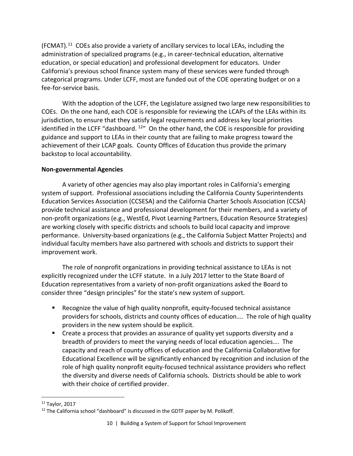(FCMAT).[11](#page-11-0) COEs also provide a variety of ancillary services to local LEAs, including the administration of specialized programs (e.g., in career-technical education, alternative education, or special education) and professional development for educators. Under California's previous school finance system many of these services were funded through categorical programs. Under LCFF, most are funded out of the COE operating budget or on a fee-for-service basis.

With the adoption of the LCFF, the Legislature assigned two large new responsibilities to COEs. On the one hand, each COE is responsible for reviewing the LCAPs of the LEAs within its jurisdiction, to ensure that they satisfy legal requirements and address key local priorities identified in the LCFF "dashboard.  $12$ " On the other hand, the COE is responsible for providing guidance and support to LEAs in their county that are failing to make progress toward the achievement of their LCAP goals. County Offices of Education thus provide the primary backstop to local accountability.

#### **Non-governmental Agencies**

A variety of other agencies may also play important roles in California's emerging system of support. Professional associations including the California County Superintendents Education Services Association (CCSESA) and the California Charter Schools Association (CCSA) provide technical assistance and professional development for their members, and a variety of non-profit organizations (e.g., WestEd, Pivot Learning Partners, Education Resource Strategies) are working closely with specific districts and schools to build local capacity and improve performance. University-based organizations (e.g., the California Subject Matter Projects) and individual faculty members have also partnered with schools and districts to support their improvement work.

The role of nonprofit organizations in providing technical assistance to LEAs is not explicitly recognized under the LCFF statute. In a July 2017 letter to the State Board of Education representatives from a variety of non-profit organizations asked the Board to consider three "design principles" for the state's new system of support.

- Recognize the value of high quality nonprofit, equity-focused technical assistance providers for schools, districts and county offices of education…. The role of high quality providers in the new system should be explicit.
- **EXTER 2** Create a process that provides an assurance of quality yet supports diversity and a breadth of providers to meet the varying needs of local education agencies…. The capacity and reach of county offices of education and the California Collaborative for Educational Excellence will be significantly enhanced by recognition and inclusion of the role of high quality nonprofit equity-focused technical assistance providers who reflect the diversity and diverse needs of California schools. Districts should be able to work with their choice of certified provider.

<span id="page-11-0"></span> <sup>11</sup> Taylor, 2017

<span id="page-11-1"></span><sup>&</sup>lt;sup>12</sup> The California school "dashboard" is discussed in the GDTF paper by M. Polikoff.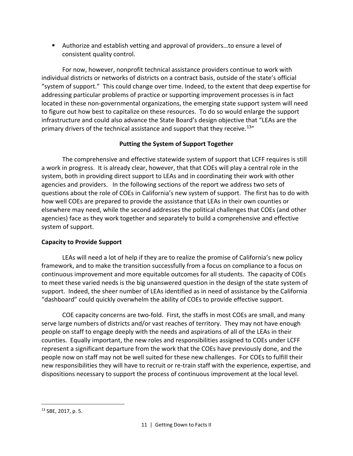■ Authorize and establish vetting and approval of providers...to ensure a level of consistent quality control.

For now, however, nonprofit technical assistance providers continue to work with individual districts or networks of districts on a contract basis, outside of the state's official "system of support." This could change over time. Indeed, to the extent that deep expertise for addressing particular problems of practice or supporting improvement processes is in fact located in these non-governmental organizations, the emerging state support system will need to figure out how best to capitalize on these resources. To do so would enlarge the support infrastructure and could also advance the State Board's design objective that "LEAs are the primary drivers of the technical assistance and support that they receive.<sup>[13](#page-12-0)</sup>"

# **Putting the System of Support Together**

The comprehensive and effective statewide system of support that LCFF requires is still a work in progress. It is already clear, however, that that COEs will play a central role in the system, both in providing direct support to LEAs and in coordinating their work with other agencies and providers. In the following sections of the report we address two sets of questions about the role of COEs in California's new system of support. The first has to do with how well COEs are prepared to provide the assistance that LEAs in their own counties or elsewhere may need, while the second addresses the political challenges that COEs (and other agencies) face as they work together and separately to build a comprehensive and effective system of support.

# **Capacity to Provide Support**

LEAs will need a lot of help if they are to realize the promise of California's new policy framework, and to make the transition successfully from a focus on compliance to a focus on continuous improvement and more equitable outcomes for all students. The capacity of COEs to meet these varied needs is the big unanswered question in the design of the state system of support. Indeed, the sheer number of LEAs identified as in need of assistance by the California "dashboard" could quickly overwhelm the ability of COEs to provide effective support.

COE capacity concerns are two-fold. First, the staffs in most COEs are small, and many serve large numbers of districts and/or vast reaches of territory. They may not have enough people on staff to engage deeply with the needs and aspirations of all of the LEAs in their counties. Equally important, the new roles and responsibilities assigned to COEs under LCFF represent a significant departure from the work that the COEs have previously done, and the people now on staff may not be well suited for these new challenges. For COEs to fulfill their new responsibilities they will have to recruit or re-train staff with the experience, expertise, and dispositions necessary to support the process of continuous improvement at the local level.

<span id="page-12-0"></span> <sup>13</sup> SBE, 2017, p. 5.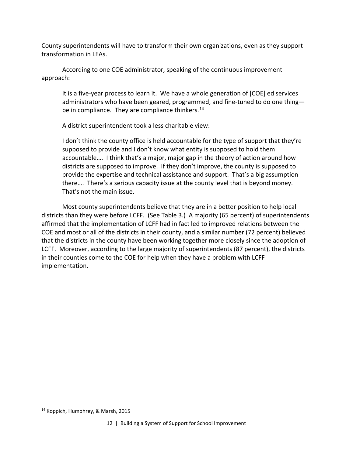County superintendents will have to transform their own organizations, even as they support transformation in LEAs.

According to one COE administrator, speaking of the continuous improvement approach:

It is a five-year process to learn it. We have a whole generation of [COE] ed services administrators who have been geared, programmed, and fine-tuned to do one thing— be in compliance. They are compliance thinkers.<sup>[14](#page-13-0)</sup>

A district superintendent took a less charitable view:

I don't think the county office is held accountable for the type of support that they're supposed to provide and I don't know what entity is supposed to hold them accountable…. I think that's a major, major gap in the theory of action around how districts are supposed to improve. If they don't improve, the county is supposed to provide the expertise and technical assistance and support. That's a big assumption there…. There's a serious capacity issue at the county level that is beyond money. That's not the main issue.

Most county superintendents believe that they are in a better position to help local districts than they were before LCFF. (See Table 3.) A majority (65 percent) of superintendents affirmed that the implementation of LCFF had in fact led to improved relations between the COE and most or all of the districts in their county, and a similar number (72 percent) believed that the districts in the county have been working together more closely since the adoption of LCFF. Moreover, according to the large majority of superintendents (87 percent), the districts in their counties come to the COE for help when they have a problem with LCFF implementation.

<span id="page-13-0"></span> <sup>14</sup> Koppich, Humphrey, & Marsh, 2015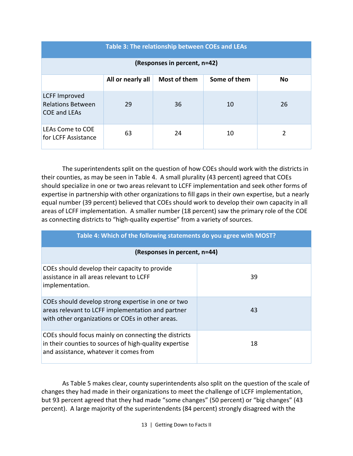| Table 3: The relationship between COEs and LEAs                  |                   |              |              |     |
|------------------------------------------------------------------|-------------------|--------------|--------------|-----|
| (Responses in percent, n=42)                                     |                   |              |              |     |
|                                                                  | All or nearly all | Most of them | Some of them | No. |
| <b>LCFF Improved</b><br><b>Relations Between</b><br>COE and LEAs | 29                | 36           | 10           | 26  |
| LEAs Come to COE<br>for LCFF Assistance                          | 63                | 24           | 10           | 2   |

The superintendents split on the question of how COEs should work with the districts in their counties, as may be seen in Table 4. A small plurality (43 percent) agreed that COEs should specialize in one or two areas relevant to LCFF implementation and seek other forms of expertise in partnership with other organizations to fill gaps in their own expertise, but a nearly equal number (39 percent) believed that COEs should work to develop their own capacity in all areas of LCFF implementation. A smaller number (18 percent) saw the primary role of the COE as connecting districts to "high-quality expertise" from a variety of sources.

| Table 4: Which of the following statements do you agree with MOST?                                                                                          |    |  |  |  |
|-------------------------------------------------------------------------------------------------------------------------------------------------------------|----|--|--|--|
| (Responses in percent, n=44)                                                                                                                                |    |  |  |  |
| COEs should develop their capacity to provide<br>assistance in all areas relevant to LCFF<br>implementation.                                                | 39 |  |  |  |
| COEs should develop strong expertise in one or two<br>areas relevant to LCFF implementation and partner<br>with other organizations or COEs in other areas. | 43 |  |  |  |
| COEs should focus mainly on connecting the districts<br>in their counties to sources of high-quality expertise<br>and assistance, whatever it comes from    | 18 |  |  |  |

As Table 5 makes clear, county superintendents also split on the question of the scale of changes they had made in their organizations to meet the challenge of LCFF implementation, but 93 percent agreed that they had made "some changes" (50 percent) or "big changes" (43 percent). A large majority of the superintendents (84 percent) strongly disagreed with the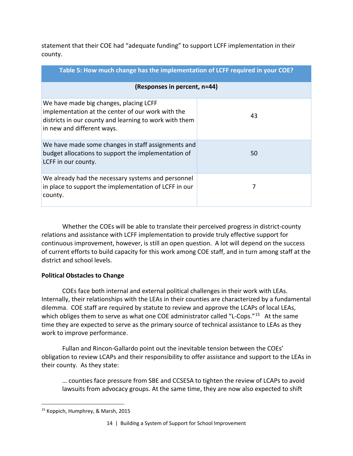statement that their COE had "adequate funding" to support LCFF implementation in their county.

| Table 5: How much change has the implementation of LCFF required in your COE?                                                                                                       |    |  |  |  |  |
|-------------------------------------------------------------------------------------------------------------------------------------------------------------------------------------|----|--|--|--|--|
| (Responses in percent, n=44)                                                                                                                                                        |    |  |  |  |  |
| We have made big changes, placing LCFF<br>implementation at the center of our work with the<br>districts in our county and learning to work with them<br>in new and different ways. | 43 |  |  |  |  |
| We have made some changes in staff assignments and<br>budget allocations to support the implementation of<br>LCFF in our county.                                                    | 50 |  |  |  |  |
| We already had the necessary systems and personnel<br>in place to support the implementation of LCFF in our<br>county.                                                              | 7  |  |  |  |  |

Whether the COEs will be able to translate their perceived progress in district-county relations and assistance with LCFF implementation to provide truly effective support for continuous improvement, however, is still an open question. A lot will depend on the success of current efforts to build capacity for this work among COE staff, and in turn among staff at the district and school levels.

### **Political Obstacles to Change**

COEs face both internal and external political challenges in their work with LEAs. Internally, their relationships with the LEAs in their counties are characterized by a fundamental dilemma. COE staff are required by statute to review and approve the LCAPs of local LEAs, which obliges them to serve as what one COE administrator called "L-Cops."<sup>15</sup> At the same time they are expected to serve as the primary source of technical assistance to LEAs as they work to improve performance.

Fullan and Rincon-Gallardo point out the inevitable tension between the COEs' obligation to review LCAPs and their responsibility to offer assistance and support to the LEAs in their county. As they state:

… counties face pressure from SBE and CCSESA to tighten the review of LCAPs to avoid lawsuits from advocacy groups. At the same time, they are now also expected to shift

<span id="page-15-0"></span> <sup>15</sup> Koppich, Humphrey, & Marsh, 2015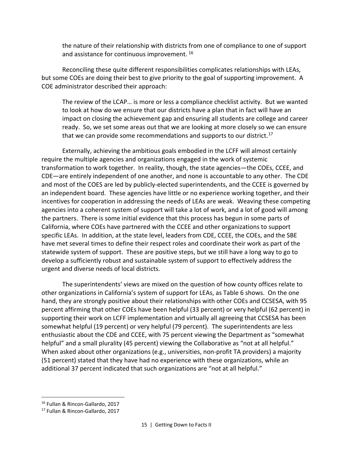the nature of their relationship with districts from one of compliance to one of support and assistance for continuous improvement. [16](#page-16-0)

Reconciling these quite different responsibilities complicates relationships with LEAs, but some COEs are doing their best to give priority to the goal of supporting improvement. A COE administrator described their approach:

The review of the LCAP… is more or less a compliance checklist activity. But we wanted to look at how do we ensure that our districts have a plan that in fact will have an impact on closing the achievement gap and ensuring all students are college and career ready. So, we set some areas out that we are looking at more closely so we can ensure that we can provide some recommendations and supports to our district.<sup>[17](#page-16-1)</sup>

Externally, achieving the ambitious goals embodied in the LCFF will almost certainly require the multiple agencies and organizations engaged in the work of systemic transformation to work together. In reality, though, the state agencies—the COEs, CCEE, and CDE—are entirely independent of one another, and none is accountable to any other. The CDE and most of the COES are led by publicly-elected superintendents, and the CCEE is governed by an independent board. These agencies have little or no experience working together, and their incentives for cooperation in addressing the needs of LEAs are weak. Weaving these competing agencies into a coherent system of support will take a lot of work, and a lot of good will among the partners. There is some initial evidence that this process has begun in some parts of California, where COEs have partnered with the CCEE and other organizations to support specific LEAs. In addition, at the state level, leaders from CDE, CCEE, the COEs, and the SBE have met several times to define their respect roles and coordinate their work as part of the statewide system of support. These are positive steps, but we still have a long way to go to develop a sufficiently robust and sustainable system of support to effectively address the urgent and diverse needs of local districts.

The superintendents' views are mixed on the question of how county offices relate to other organizations in California's system of support for LEAs, as Table 6 shows. On the one hand, they are strongly positive about their relationships with other COEs and CCSESA, with 95 percent affirming that other COEs have been helpful (33 percent) or very helpful (62 percent) in supporting their work on LCFF implementation and virtually all agreeing that CCSESA has been somewhat helpful (19 percent) or very helpful (79 percent). The superintendents are less enthusiastic about the CDE and CCEE, with 75 percent viewing the Department as "somewhat helpful" and a small plurality (45 percent) viewing the Collaborative as "not at all helpful." When asked about other organizations (e.g., universities, non-profit TA providers) a majority (51 percent) stated that they have had no experience with these organizations, while an additional 37 percent indicated that such organizations are "not at all helpful."

<span id="page-16-0"></span> <sup>16</sup> Fullan & Rincon-Gallardo, 2017

<span id="page-16-1"></span><sup>17</sup> Fullan & Rincon-Gallardo, 2017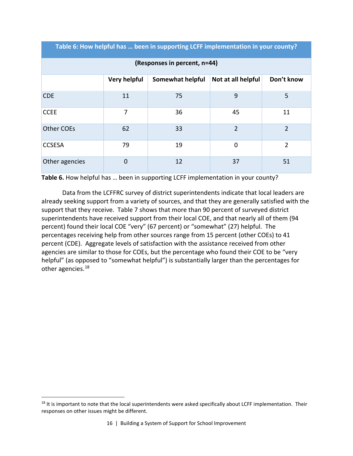**Table 6: How helpful has … been in supporting LCFF implementation in your county?**

| (Responses in percent, n=44) |                |                  |                    |                |
|------------------------------|----------------|------------------|--------------------|----------------|
|                              | Very helpful   | Somewhat helpful | Not at all helpful | Don't know     |
| <b>CDE</b>                   | 11             | 75               | 9                  | 5              |
| <b>CCEE</b>                  | 7              | 36               | 45                 | 11             |
| <b>Other COEs</b>            | 62             | 33               | 2                  | 2              |
| <b>CCSESA</b>                | 79             | 19               | $\mathbf 0$        | $\overline{2}$ |
| Other agencies               | $\overline{0}$ | 12               | 37                 | 51             |

**Table 6.** How helpful has … been in supporting LCFF implementation in your county?

Data from the LCFFRC survey of district superintendents indicate that local leaders are already seeking support from a variety of sources, and that they are generally satisfied with the support that they receive. Table 7 shows that more than 90 percent of surveyed district superintendents have received support from their local COE, and that nearly all of them (94 percent) found their local COE "very" (67 percent) or "somewhat" (27) helpful. The percentages receiving help from other sources range from 15 percent (other COEs) to 41 percent (CDE). Aggregate levels of satisfaction with the assistance received from other agencies are similar to those for COEs, but the percentage who found their COE to be "very helpful" (as opposed to "somewhat helpful") is substantially larger than the percentages for other agencies.[18](#page-17-0)

<span id="page-17-0"></span><sup>&</sup>lt;sup>18</sup> It is important to note that the local superintendents were asked specifically about LCFF implementation. Their responses on other issues might be different.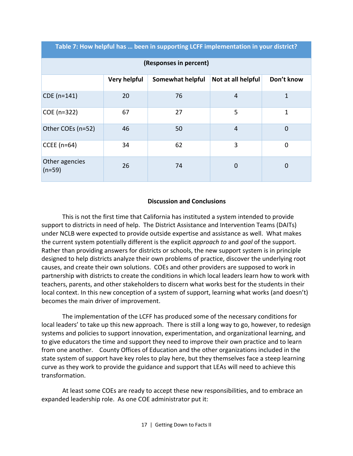**Table 7: How helpful has … been in supporting LCFF implementation in your district?**

| (Responses in percent)     |              |                  |                    |              |
|----------------------------|--------------|------------------|--------------------|--------------|
|                            | Very helpful | Somewhat helpful | Not at all helpful | Don't know   |
| CDE (n=141)                | 20           | 76               | $\overline{4}$     | $\mathbf{1}$ |
| COE (n=322)                | 67           | 27               | 5                  | 1            |
| Other COEs (n=52)          | 46           | 50               | $\overline{4}$     | $\mathbf 0$  |
| CCEE $(n=64)$              | 34           | 62               | 3                  | $\mathbf 0$  |
| Other agencies<br>$(n=59)$ | 26           | 74               | $\mathbf 0$        | 0            |

#### **Discussion and Conclusions**

This is not the first time that California has instituted a system intended to provide support to districts in need of help. The District Assistance and Intervention Teams (DAITs) under NCLB were expected to provide outside expertise and assistance as well. What makes the current system potentially different is the explicit *approach to* and *goal* of the support. Rather than providing answers for districts or schools, the new support system is in principle designed to help districts analyze their own problems of practice, discover the underlying root causes, and create their own solutions. COEs and other providers are supposed to work in partnership with districts to create the conditions in which local leaders learn how to work with teachers, parents, and other stakeholders to discern what works best for the students in their local context. In this new conception of a system of support, learning what works (and doesn't) becomes the main driver of improvement.

The implementation of the LCFF has produced some of the necessary conditions for local leaders' to take up this new approach. There is still a long way to go, however, to redesign systems and policies to support innovation, experimentation, and organizational learning, and to give educators the time and support they need to improve their own practice and to learn from one another. County Offices of Education and the other organizations included in the state system of support have key roles to play here, but they themselves face a steep learning curve as they work to provide the guidance and support that LEAs will need to achieve this transformation.

At least some COEs are ready to accept these new responsibilities, and to embrace an expanded leadership role. As one COE administrator put it: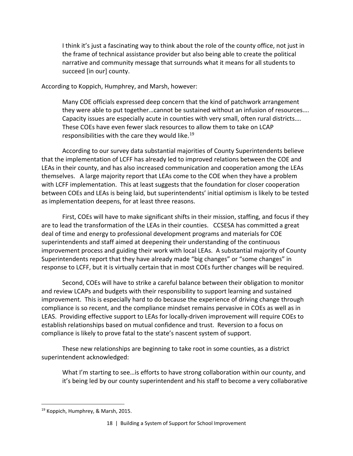I think it's just a fascinating way to think about the role of the county office, not just in the frame of technical assistance provider but also being able to create the political narrative and community message that surrounds what it means for all students to succeed [in our] county.

According to Koppich, Humphrey, and Marsh, however:

Many COE officials expressed deep concern that the kind of patchwork arrangement they were able to put together…cannot be sustained without an infusion of resources…. Capacity issues are especially acute in counties with very small, often rural districts…. These COEs have even fewer slack resources to allow them to take on LCAP responsibilities with the care they would like.<sup>[19](#page-19-0)</sup>

According to our survey data substantial majorities of County Superintendents believe that the implementation of LCFF has already led to improved relations between the COE and LEAs in their county, and has also increased communication and cooperation among the LEAs themselves. A large majority report that LEAs come to the COE when they have a problem with LCFF implementation. This at least suggests that the foundation for closer cooperation between COEs and LEAs is being laid, but superintendents' initial optimism is likely to be tested as implementation deepens, for at least three reasons.

First, COEs will have to make significant shifts in their mission, staffing, and focus if they are to lead the transformation of the LEAs in their counties. CCSESA has committed a great deal of time and energy to professional development programs and materials for COE superintendents and staff aimed at deepening their understanding of the continuous improvement process and guiding their work with local LEAs. A substantial majority of County Superintendents report that they have already made "big changes" or "some changes" in response to LCFF, but it is virtually certain that in most COEs further changes will be required.

Second, COEs will have to strike a careful balance between their obligation to monitor and review LCAPs and budgets with their responsibility to support learning and sustained improvement. This is especially hard to do because the experience of driving change through compliance is so recent, and the compliance mindset remains pervasive in COEs as well as in LEAS. Providing effective support to LEAs for locally-driven improvement will require COEs to establish relationships based on mutual confidence and trust. Reversion to a focus on compliance is likely to prove fatal to the state's nascent system of support.

These new relationships are beginning to take root in some counties, as a district superintendent acknowledged:

What I'm starting to see…is efforts to have strong collaboration within our county, and it's being led by our county superintendent and his staff to become a very collaborative

<span id="page-19-0"></span> <sup>19</sup> Koppich, Humphrey, & Marsh, 2015.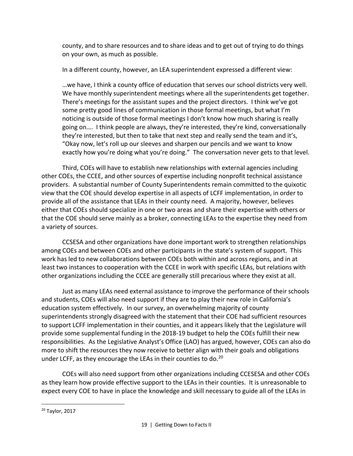county, and to share resources and to share ideas and to get out of trying to do things on your own, as much as possible.

In a different county, however, an LEA superintendent expressed a different view:

…we have, I think a county office of education that serves our school districts very well. We have monthly superintendent meetings where all the superintendents get together. There's meetings for the assistant supes and the project directors. I think we've got some pretty good lines of communication in those formal meetings, but what I'm noticing is outside of those formal meetings I don't know how much sharing is really going on…. I think people are always, they're interested, they're kind, conversationally they're interested, but then to take that next step and really send the team and it's, "Okay now, let's roll up our sleeves and sharpen our pencils and we want to know exactly how you're doing what you're doing." The conversation never gets to that level.

Third, COEs will have to establish new relationships with external agencies including other COEs, the CCEE, and other sources of expertise including nonprofit technical assistance providers. A substantial number of County Superintendents remain committed to the quixotic view that the COE should develop expertise in all aspects of LCFF implementation, in order to provide all of the assistance that LEAs in their county need. A majority, however, believes either that COEs should specialize in one or two areas and share their expertise with others or that the COE should serve mainly as a broker, connecting LEAs to the expertise they need from a variety of sources.

CCSESA and other organizations have done important work to strengthen relationships among COEs and between COEs and other participants in the state's system of support. This work has led to new collaborations between COEs both within and across regions, and in at least two instances to cooperation with the CCEE in work with specific LEAs, but relations with other organizations including the CCEE are generally still precarious where they exist at all.

Just as many LEAs need external assistance to improve the performance of their schools and students, COEs will also need support if they are to play their new role in California's education system effectively. In our survey, an overwhelming majority of county superintendents strongly disagreed with the statement that their COE had sufficient resources to support LCFF implementation in their counties, and it appears likely that the Legislature will provide some supplemental funding in the 2018-19 budget to help the COEs fulfill their new responsibilities. As the Legislative Analyst's Office (LAO) has argued, however, COEs can also do more to shift the resources they now receive to better align with their goals and obligations under LCFF, as they encourage the LEAs in their counties to do.<sup>[20](#page-20-0)</sup>

COEs will also need support from other organizations including CCESESA and other COEs as they learn how provide effective support to the LEAs in their counties. It is unreasonable to expect every COE to have in place the knowledge and skill necessary to guide all of the LEAs in

<span id="page-20-0"></span> <sup>20</sup> Taylor, 2017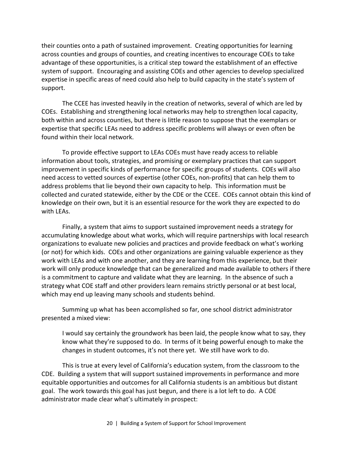their counties onto a path of sustained improvement. Creating opportunities for learning across counties and groups of counties, and creating incentives to encourage COEs to take advantage of these opportunities, is a critical step toward the establishment of an effective system of support. Encouraging and assisting COEs and other agencies to develop specialized expertise in specific areas of need could also help to build capacity in the state's system of support.

The CCEE has invested heavily in the creation of networks, several of which are led by COEs. Establishing and strengthening local networks may help to strengthen local capacity, both within and across counties, but there is little reason to suppose that the exemplars or expertise that specific LEAs need to address specific problems will always or even often be found within their local network.

To provide effective support to LEAs COEs must have ready access to reliable information about tools, strategies, and promising or exemplary practices that can support improvement in specific kinds of performance for specific groups of students. COEs will also need access to vetted sources of expertise (other COEs, non-profits) that can help them to address problems that lie beyond their own capacity to help. This information must be collected and curated statewide, either by the CDE or the CCEE. COEs cannot obtain this kind of knowledge on their own, but it is an essential resource for the work they are expected to do with LEAs.

Finally, a system that aims to support sustained improvement needs a strategy for accumulating knowledge about what works, which will require partnerships with local research organizations to evaluate new policies and practices and provide feedback on what's working (or not) for which kids. COEs and other organizations are gaining valuable experience as they work with LEAs and with one another, and they are learning from this experience, but their work will only produce knowledge that can be generalized and made available to others if there is a commitment to capture and validate what they are learning. In the absence of such a strategy what COE staff and other providers learn remains strictly personal or at best local, which may end up leaving many schools and students behind.

Summing up what has been accomplished so far, one school district administrator presented a mixed view:

I would say certainly the groundwork has been laid, the people know what to say, they know what they're supposed to do. In terms of it being powerful enough to make the changes in student outcomes, it's not there yet. We still have work to do.

This is true at every level of California's education system, from the classroom to the CDE. Building a system that will support sustained improvements in performance and more equitable opportunities and outcomes for all California students is an ambitious but distant goal. The work towards this goal has just begun, and there is a lot left to do. A COE administrator made clear what's ultimately in prospect: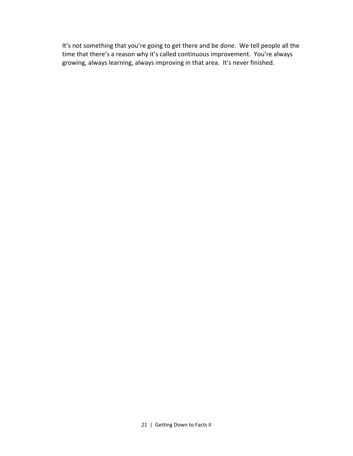It's not something that you're going to get there and be done. We tell people all the time that there's a reason why it's called continuous improvement. You're always growing, always learning, always improving in that area. It's never finished.